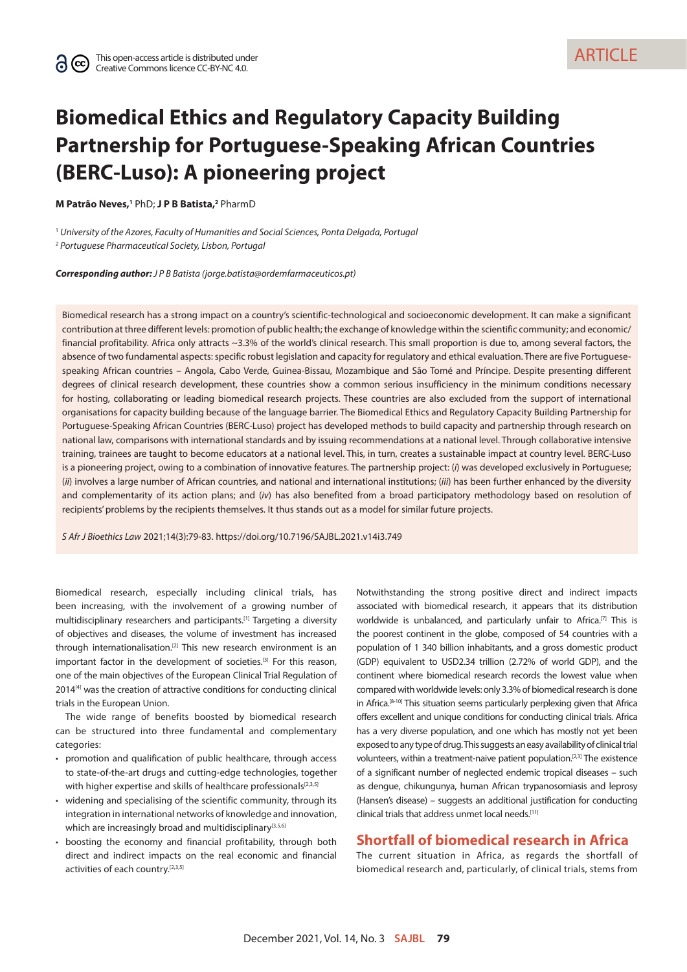**ARTICLE** 

# **Biomedical Ethics and Regulatory Capacity Building Partnership for Portuguese-Speaking African Countries (BERC-Luso): A pioneering project**

**M Patrão Neves,1** PhD; **J P B Batista,2** PharmD

<sup>1</sup> *University of the Azores, Faculty of Humanities and Social Sciences, Ponta Delgada, Portugal* <sup>2</sup> *Portuguese Pharmaceutical Society, Lisbon, Portugal*

*Corresponding author: J P B Batista ([jorge.batista@ordemfarmaceuticos.pt](mailto:jorge.batista@ordemfarmaceuticos.pt))*

Biomedical research has a strong impact on a country's scientific-technological and socioeconomic development. It can make a significant contribution at three different levels: promotion of public health; the exchange of knowledge within the scientific community; and economic/ financial profitability. Africa only attracts ~3.3% of the world's clinical research. This small proportion is due to, among several factors, the absence of two fundamental aspects: specific robust legislation and capacity for regulatory and ethical evaluation. There are five Portuguesespeaking African countries – Angola, Cabo Verde, Guinea-Bissau, Mozambique and São Tomé and Príncipe. Despite presenting different degrees of clinical research development, these countries show a common serious insufficiency in the minimum conditions necessary for hosting, collaborating or leading biomedical research projects. These countries are also excluded from the support of international organisations for capacity building because of the language barrier. The Biomedical Ethics and Regulatory Capacity Building Partnership for Portuguese-Speaking African Countries (BERC-Luso) project has developed methods to build capacity and partnership through research on national law, comparisons with international standards and by issuing recommendations at a national level. Through collaborative intensive training, trainees are taught to become educators at a national level. This, in turn, creates a sustainable impact at country level. BERC-Luso is a pioneering project, owing to a combination of innovative features. The partnership project: (*i*) was developed exclusively in Portuguese; (*ii*) involves a large number of African countries, and national and international institutions; (*iii*) has been further enhanced by the diversity and complementarity of its action plans; and (*iv*) has also benefited from a broad participatory methodology based on resolution of recipients' problems by the recipients themselves. It thus stands out as a model for similar future projects.

*S Afr J Bioethics Law* 2021;14(3):79-83. <https://doi.org/10.7196/SAJBL.2021.v14i3.749>

Biomedical research, especially including clinical trials, has been increasing, with the involvement of a growing number of multidisciplinary researchers and participants.[1] Targeting a diversity of objectives and diseases, the volume of investment has increased through internationalisation.[2] This new research environment is an important factor in the development of societies.<sup>[3]</sup> For this reason, one of the main objectives of the European Clinical Trial Regulation of 2014<sup>[4]</sup> was the creation of attractive conditions for conducting clinical trials in the European Union.

The wide range of benefits boosted by biomedical research can be structured into three fundamental and complementary categories:

- promotion and qualification of public healthcare, through access to state-of-the-art drugs and cutting-edge technologies, together with higher expertise and skills of healthcare professionals<sup>[2,3,5]</sup>
- widening and specialising of the scientific community, through its integration in international networks of knowledge and innovation, which are increasingly broad and multidisciplinary<sup>[3,5,6]</sup>
- boosting the economy and financial profitability, through both direct and indirect impacts on the real economic and financial activities of each country.[2,3,5]

Notwithstanding the strong positive direct and indirect impacts associated with biomedical research, it appears that its distribution worldwide is unbalanced, and particularly unfair to Africa.<sup>[7]</sup> This is the poorest continent in the globe, composed of 54 countries with a population of 1 340 billion inhabitants, and a gross domestic product (GDP) equivalent to USD2.34 trillion (2.72% of world GDP), and the continent where biomedical research records the lowest value when compared with worldwide levels: only 3.3% of biomedical research is done in Africa.<sup>[8-10]</sup> This situation seems particularly perplexing given that Africa offers excellent and unique conditions for conducting clinical trials. Africa has a very diverse population, and one which has mostly not yet been exposed to any type of drug. This suggests an easy availability of clinical trial volunteers, within a treatment-naive patient population.[2,3] The existence of a significant number of neglected endemic tropical diseases – such as dengue, chikungunya, human African trypanosomiasis and leprosy (Hansen's disease) – suggests an additional justification for conducting clinical trials that address unmet local needs.[11]

# **Shortfall of biomedical research in Africa**

The current situation in Africa, as regards the shortfall of biomedical research and, particularly, of clinical trials, stems from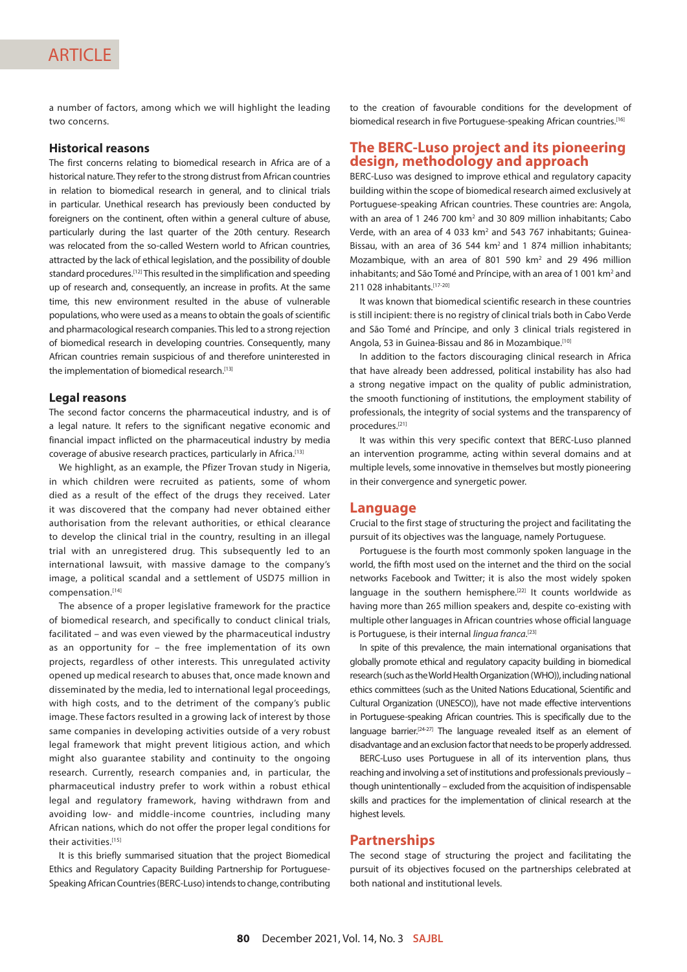a number of factors, among which we will highlight the leading two concerns.

#### **Historical reasons**

The first concerns relating to biomedical research in Africa are of a historical nature. They refer to the strong distrust from African countries in relation to biomedical research in general, and to clinical trials in particular. Unethical research has previously been conducted by foreigners on the continent, often within a general culture of abuse, particularly during the last quarter of the 20th century. Research was relocated from the so-called Western world to African countries, attracted by the lack of ethical legislation, and the possibility of double standard procedures.<sup>[12]</sup> This resulted in the simplification and speeding up of research and, consequently, an increase in profits. At the same time, this new environment resulted in the abuse of vulnerable populations, who were used as a means to obtain the goals of scientific and pharmacological research companies. This led to a strong rejection of biomedical research in developing countries. Consequently, many African countries remain suspicious of and therefore uninterested in the implementation of biomedical research.[13]

#### **Legal reasons**

The second factor concerns the pharmaceutical industry, and is of a legal nature. It refers to the significant negative economic and financial impact inflicted on the pharmaceutical industry by media coverage of abusive research practices, particularly in Africa.[13]

We highlight, as an example, the Pfizer Trovan study in Nigeria, in which children were recruited as patients, some of whom died as a result of the effect of the drugs they received. Later it was discovered that the company had never obtained either authorisation from the relevant authorities, or ethical clearance to develop the clinical trial in the country, resulting in an illegal trial with an unregistered drug. This subsequently led to an international lawsuit, with massive damage to the company's image, a political scandal and a settlement of USD75 million in compensation.[14]

The absence of a proper legislative framework for the practice of biomedical research, and specifically to conduct clinical trials, facilitated – and was even viewed by the pharmaceutical industry as an opportunity for – the free implementation of its own projects, regardless of other interests. This unregulated activity opened up medical research to abuses that, once made known and disseminated by the media, led to international legal proceedings, with high costs, and to the detriment of the company's public image. These factors resulted in a growing lack of interest by those same companies in developing activities outside of a very robust legal framework that might prevent litigious action, and which might also guarantee stability and continuity to the ongoing research. Currently, research companies and, in particular, the pharmaceutical industry prefer to work within a robust ethical legal and regulatory framework, having withdrawn from and avoiding low- and middle-income countries, including many African nations, which do not offer the proper legal conditions for their activities.[15]

It is this briefly summarised situation that the project Biomedical Ethics and Regulatory Capacity Building Partnership for Portuguese-Speaking African Countries (BERC-Luso) intends to change, contributing

to the creation of favourable conditions for the development of biomedical research in five Portuguese-speaking African countries.[16]

# **The BERC-Luso project and its pioneering design, methodology and approach**

BERC-Luso was designed to improve ethical and regulatory capacity building within the scope of biomedical research aimed exclusively at Portuguese-speaking African countries. These countries are: Angola, with an area of 1 246 700 km<sup>2</sup> and 30 809 million inhabitants; Cabo Verde, with an area of 4 033 km<sup>2</sup> and 543 767 inhabitants; Guinea-Bissau, with an area of 36 544 km<sup>2</sup> and 1 874 million inhabitants; Mozambique, with an area of 801 590 km<sup>2</sup> and 29 496 million inhabitants; and São Tomé and Príncipe, with an area of 1001 km<sup>2</sup> and 211 028 inhabitants.[17-20]

It was known that biomedical scientific research in these countries is still incipient: there is no registry of clinical trials both in Cabo Verde and São Tomé and Príncipe, and only 3 clinical trials registered in Angola, 53 in Guinea-Bissau and 86 in Mozambique.<sup>[10]</sup>

In addition to the factors discouraging clinical research in Africa that have already been addressed, political instability has also had a strong negative impact on the quality of public administration, the smooth functioning of institutions, the employment stability of professionals, the integrity of social systems and the transparency of procedures.[21]

It was within this very specific context that BERC-Luso planned an intervention programme, acting within several domains and at multiple levels, some innovative in themselves but mostly pioneering in their convergence and synergetic power.

#### **Language**

Crucial to the first stage of structuring the project and facilitating the pursuit of its objectives was the language, namely Portuguese.

Portuguese is the fourth most commonly spoken language in the world, the fifth most used on the internet and the third on the social networks Facebook and Twitter; it is also the most widely spoken language in the southern hemisphere.<sup>[22]</sup> It counts worldwide as having more than 265 million speakers and, despite co-existing with multiple other languages in African countries whose official language is Portuguese, is their internal *lingua franca*. [23]

In spite of this prevalence, the main international organisations that globally promote ethical and regulatory capacity building in biomedical research (such as the World Health Organization (WHO)), including national ethics committees (such as the United Nations Educational, Scientific and Cultural Organization (UNESCO)), have not made effective interventions in Portuguese-speaking African countries. This is specifically due to the language barrier.<sup>[24-27]</sup> The language revealed itself as an element of disadvantage and an exclusion factor that needs to be properly addressed.

BERC-Luso uses Portuguese in all of its intervention plans, thus reaching and involving a set of institutions and professionals previously – though unintentionally – excluded from the acquisition of indispensable skills and practices for the implementation of clinical research at the highest levels.

# **Partnerships**

The second stage of structuring the project and facilitating the pursuit of its objectives focused on the partnerships celebrated at both national and institutional levels.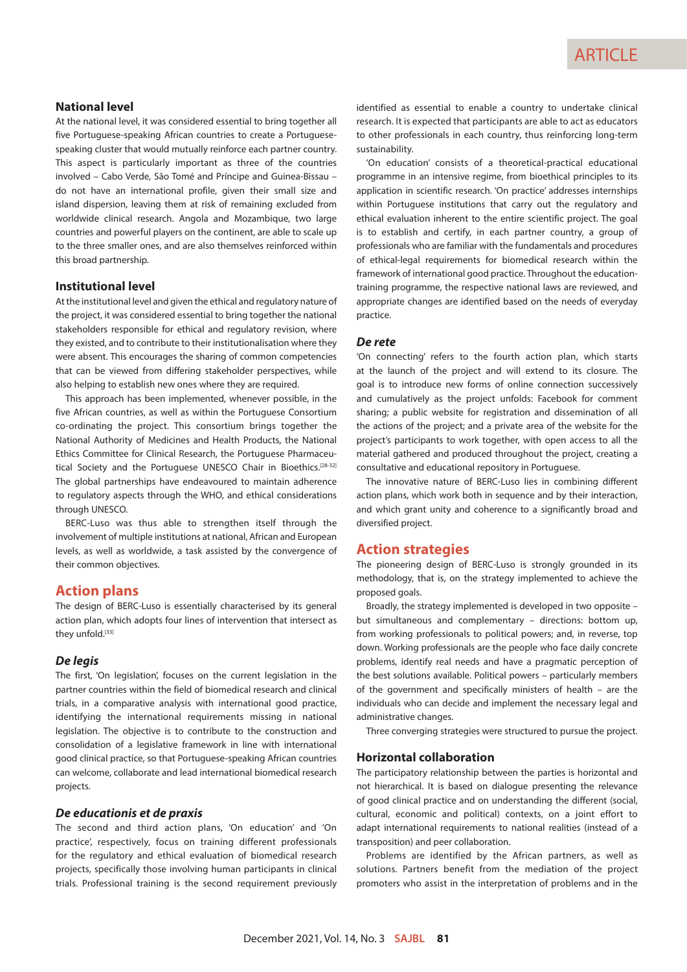### **National level**

At the national level, it was considered essential to bring together all five Portuguese-speaking African countries to create a Portuguesespeaking cluster that would mutually reinforce each partner country. This aspect is particularly important as three of the countries involved – Cabo Verde, São Tomé and Príncipe and Guinea-Bissau – do not have an international profile, given their small size and island dispersion, leaving them at risk of remaining excluded from worldwide clinical research. Angola and Mozambique, two large countries and powerful players on the continent, are able to scale up to the three smaller ones, and are also themselves reinforced within this broad partnership.

#### **Institutional level**

At the institutional level and given the ethical and regulatory nature of the project, it was considered essential to bring together the national stakeholders responsible for ethical and regulatory revision, where they existed, and to contribute to their institutionalisation where they were absent. This encourages the sharing of common competencies that can be viewed from differing stakeholder perspectives, while also helping to establish new ones where they are required.

This approach has been implemented, whenever possible, in the five African countries, as well as within the Portuguese Consortium co-ordinating the project. This consortium brings together the National Authority of Medicines and Health Products, the National Ethics Committee for Clinical Research, the Portuguese Pharmaceutical Society and the Portuguese UNESCO Chair in Bioethics.<sup>[28-32]</sup> The global partnerships have endeavoured to maintain adherence to regulatory aspects through the WHO, and ethical considerations through UNESCO.

BERC-Luso was thus able to strengthen itself through the involvement of multiple institutions at national, African and European levels, as well as worldwide, a task assisted by the convergence of their common objectives.

# **Action plans**

The design of BERC-Luso is essentially characterised by its general action plan, which adopts four lines of intervention that intersect as they unfold.[33]

#### *De legis*

The first, 'On legislation', focuses on the current legislation in the partner countries within the field of biomedical research and clinical trials, in a comparative analysis with international good practice, identifying the international requirements missing in national legislation. The objective is to contribute to the construction and consolidation of a legislative framework in line with international good clinical practice, so that Portuguese-speaking African countries can welcome, collaborate and lead international biomedical research projects.

#### *De educationis et de praxis*

The second and third action plans, 'On education' and 'On practice', respectively, focus on training different professionals for the regulatory and ethical evaluation of biomedical research projects, specifically those involving human participants in clinical trials. Professional training is the second requirement previously

identified as essential to enable a country to undertake clinical research. It is expected that participants are able to act as educators to other professionals in each country, thus reinforcing long-term sustainability.

'On education' consists of a theoretical-practical educational programme in an intensive regime, from bioethical principles to its application in scientific research. 'On practice' addresses internships within Portuguese institutions that carry out the regulatory and ethical evaluation inherent to the entire scientific project. The goal is to establish and certify, in each partner country, a group of professionals who are familiar with the fundamentals and procedures of ethical-legal requirements for biomedical research within the framework of international good practice. Throughout the educationtraining programme, the respective national laws are reviewed, and appropriate changes are identified based on the needs of everyday practice.

#### *De rete*

'On connecting' refers to the fourth action plan, which starts at the launch of the project and will extend to its closure. The goal is to introduce new forms of online connection successively and cumulatively as the project unfolds: Facebook for comment sharing; a public website for registration and dissemination of all the actions of the project; and a private area of the website for the project's participants to work together, with open access to all the material gathered and produced throughout the project, creating a consultative and educational repository in Portuguese.

The innovative nature of BERC-Luso lies in combining different action plans, which work both in sequence and by their interaction, and which grant unity and coherence to a significantly broad and diversified project.

## **Action strategies**

The pioneering design of BERC-Luso is strongly grounded in its methodology, that is, on the strategy implemented to achieve the proposed goals.

Broadly, the strategy implemented is developed in two opposite – but simultaneous and complementary – directions: bottom up, from working professionals to political powers; and, in reverse, top down. Working professionals are the people who face daily concrete problems, identify real needs and have a pragmatic perception of the best solutions available. Political powers – particularly members of the government and specifically ministers of health – are the individuals who can decide and implement the necessary legal and administrative changes.

Three converging strategies were structured to pursue the project.

#### **Horizontal collaboration**

The participatory relationship between the parties is horizontal and not hierarchical. It is based on dialogue presenting the relevance of good clinical practice and on understanding the different (social, cultural, economic and political) contexts, on a joint effort to adapt international requirements to national realities (instead of a transposition) and peer collaboration.

Problems are identified by the African partners, as well as solutions. Partners benefit from the mediation of the project promoters who assist in the interpretation of problems and in the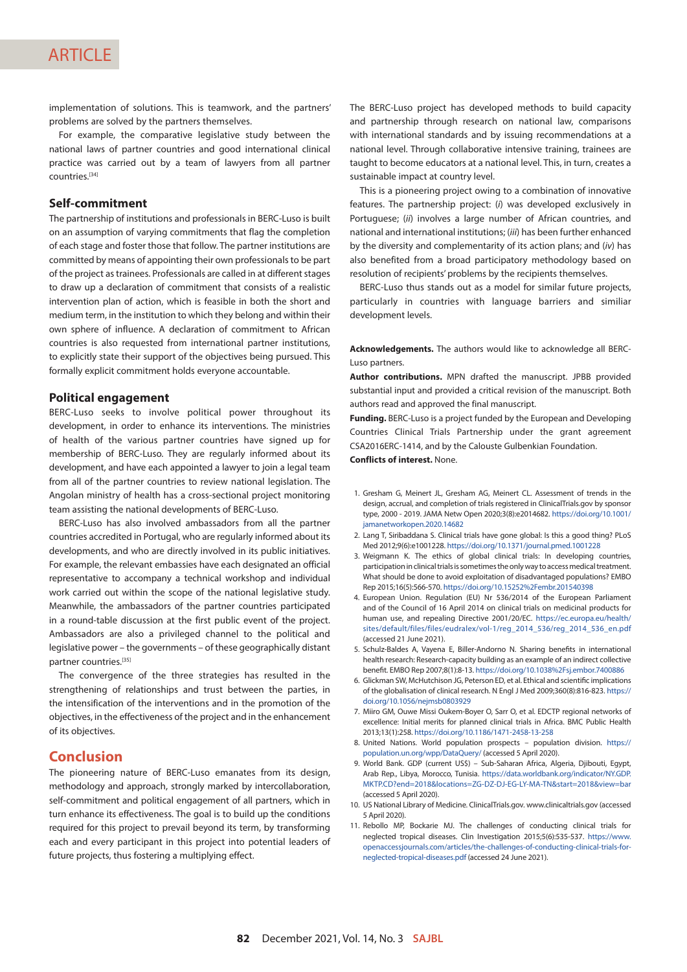# **ARTICLE**

implementation of solutions. This is teamwork, and the partners' problems are solved by the partners themselves.

For example, the comparative legislative study between the national laws of partner countries and good international clinical practice was carried out by a team of lawyers from all partner countries.[34]

#### **Self-commitment**

The partnership of institutions and professionals in BERC-Luso is built on an assumption of varying commitments that flag the completion of each stage and foster those that follow. The partner institutions are committed by means of appointing their own professionals to be part of the project as trainees. Professionals are called in at different stages to draw up a declaration of commitment that consists of a realistic intervention plan of action, which is feasible in both the short and medium term, in the institution to which they belong and within their own sphere of influence. A declaration of commitment to African countries is also requested from international partner institutions, to explicitly state their support of the objectives being pursued. This formally explicit commitment holds everyone accountable.

#### **Political engagement**

BERC-Luso seeks to involve political power throughout its development, in order to enhance its interventions. The ministries of health of the various partner countries have signed up for membership of BERC-Luso. They are regularly informed about its development, and have each appointed a lawyer to join a legal team from all of the partner countries to review national legislation. The Angolan ministry of health has a cross-sectional project monitoring team assisting the national developments of BERC-Luso.

BERC-Luso has also involved ambassadors from all the partner countries accredited in Portugal, who are regularly informed about its developments, and who are directly involved in its public initiatives. For example, the relevant embassies have each designated an official representative to accompany a technical workshop and individual work carried out within the scope of the national legislative study. Meanwhile, the ambassadors of the partner countries participated in a round-table discussion at the first public event of the project. Ambassadors are also a privileged channel to the political and legislative power – the governments – of these geographically distant partner countries.[35]

The convergence of the three strategies has resulted in the strengthening of relationships and trust between the parties, in the intensification of the interventions and in the promotion of the objectives, in the effectiveness of the project and in the enhancement of its objectives.

# **Conclusion**

The pioneering nature of BERC-Luso emanates from its design, methodology and approach, strongly marked by intercollaboration, self-commitment and political engagement of all partners, which in turn enhance its effectiveness. The goal is to build up the conditions required for this project to prevail beyond its term, by transforming each and every participant in this project into potential leaders of future projects, thus fostering a multiplying effect.

The BERC-Luso project has developed methods to build capacity and partnership through research on national law, comparisons with international standards and by issuing recommendations at a national level. Through collaborative intensive training, trainees are taught to become educators at a national level. This, in turn, creates a sustainable impact at country level.

This is a pioneering project owing to a combination of innovative features. The partnership project: (*i*) was developed exclusively in Portuguese; (*ii*) involves a large number of African countries, and national and international institutions; (*iii*) has been further enhanced by the diversity and complementarity of its action plans; and (*iv*) has also benefited from a broad participatory methodology based on resolution of recipients' problems by the recipients themselves.

BERC-Luso thus stands out as a model for similar future projects, particularly in countries with language barriers and similiar development levels.

**Acknowledgements.** The authors would like to acknowledge all BERC-Luso partners.

**Author contributions.** MPN drafted the manuscript. JPBB provided substantial input and provided a critical revision of the manuscript. Both authors read and approved the final manuscript.

**Funding.** BERC-Luso is a project funded by the European and Developing Countries Clinical Trials Partnership under the grant agreement CSA2016ERC-1414, and by the Calouste Gulbenkian Foundation. **Conflicts of interest.** None.

1. Gresham G, Meinert JL, Gresham AG, Meinert CL. Assessment of trends in the design, accrual, and completion of trials registered in [ClinicalTrials.gov](http://ClinicalTrials.gov) by sponsor type, 2000 - 2019. JAMA Netw Open 2020;3(8):e2014682. [https://doi.org/10.1001/](https://doi.org/10.1001/jamanetworkopen.2020.14682) [jamanetworkopen.2020.14682](https://doi.org/10.1001/jamanetworkopen.2020.14682)

- 2. Lang T, Siribaddana S. Clinical trials have gone global: Is this a good thing? PLoS Med 2012;9(6):e1001228. <https://doi.org/10.1371/journal.pmed.1001228>
- 3. Weigmann K. The ethics of global clinical trials: In developing countries, participation in clinical trials is sometimes the only way to access medical treatment. What should be done to avoid exploitation of disadvantaged populations? EMBO Rep 2015;16(5):566-570.<https://doi.org/10.15252%2Fembr.201540398>
- 4. European Union. Regulation (EU) Nr 536/2014 of the European Parliament and of the Council of 16 April 2014 on clinical trials on medicinal products for human use, and repealing Directive 2001/20/EC. [https://ec.europa.eu/health/](https://ec.europa.eu/health/sites/default/files/files/eudralex/vol-1/reg_2014_536/reg_2014_536_en.pdf) [sites/default/files/files/eudralex/vol-1/reg\\_2014\\_536/reg\\_2014\\_536\\_en.pdf](https://ec.europa.eu/health/sites/default/files/files/eudralex/vol-1/reg_2014_536/reg_2014_536_en.pdf) (accessed 21 June 2021).
- 5. Schulz-Baldes A, Vayena E, Biller-Andorno N. Sharing benefits in international health research: Research-capacity building as an example of an indirect collective benefit. EMBO Rep 2007;8(1):8-13.<https://doi.org/10.1038%2Fsj.embor.7400886>
- 6. Glickman SW, McHutchison JG, Peterson ED, et al. Ethical and scientific implications of the globalisation of clinical research. N Engl J Med 2009;360(8):816-823. [https://](https://doi.org/10.1056/nejmsb0803929) [doi.org/10.1056/nejmsb0803929](https://doi.org/10.1056/nejmsb0803929)
- 7. Miiro GM, Ouwe Missi Oukem-Boyer O, Sarr O, et al. EDCTP regional networks of excellence: Initial merits for planned clinical trials in Africa. BMC Public Health 2013;13(1):258.<https://doi.org/10.1186/1471-2458-13-258>
- 8. United Nations. World population prospects population division. [https://](https://population.un.org/wpp/DataQuery/) [population.un.org/wpp/DataQuery/](https://population.un.org/wpp/DataQuery/) (accessed 5 April 2020).
- 9. World Bank. GDP (current US\$) Sub-Saharan Africa, Algeria, Djibouti, Egypt, Arab Rep., Libya, Morocco, Tunisia. [https://data.worldbank.org/indicator/NY.GDP.](https://data.worldbank.org/indicator/NY.GDP.MKTP.CD?end=2018&locations=ZG-DZ-DJ-EG-LY-MA-TN&start=2018&view=bar) [MKTP.CD?end=2018&locations=ZG-DZ-DJ-EG-LY-MA-TN&start=2018&view=bar](https://data.worldbank.org/indicator/NY.GDP.MKTP.CD?end=2018&locations=ZG-DZ-DJ-EG-LY-MA-TN&start=2018&view=bar) (accessed 5 April 2020).
- 10. US National Library of Medicine. [ClinicalTrials.gov.](http://ClinicalTrials.gov) [www.clinicaltrials.gov](http://www.clinicaltrials.gov) (accessed 5 April 2020).
- 11. Rebollo MP, Bockarie MJ. The challenges of conducting clinical trials for neglected tropical diseases. Clin Investigation 2015;5(6):535-537. [https://www.](https://www.openaccessjournals.com/articles/the-challenges-of-conducting-clinical-trials-for-neglected-tropical-diseases.pdf) [openaccessjournals.com/articles/the-challenges-of-conducting-clinical-trials-for](https://www.openaccessjournals.com/articles/the-challenges-of-conducting-clinical-trials-for-neglected-tropical-diseases.pdf)[neglected-tropical-diseases.pdf](https://www.openaccessjournals.com/articles/the-challenges-of-conducting-clinical-trials-for-neglected-tropical-diseases.pdf) (accessed 24 June 2021).